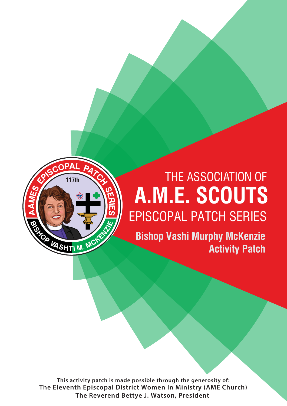

# **A.M.E. SCOUTS** EPISCOPAL PATCH SERIES **74th** THE ASSOCIATION OF

**Bishop Vashi Murphy McKenzie Activity Patch**

**This activity patch is made possible through the generosity of: The Eleventh Episcopal District Women In Ministry (AME Church) The Reverend Bettye J. Watson, President**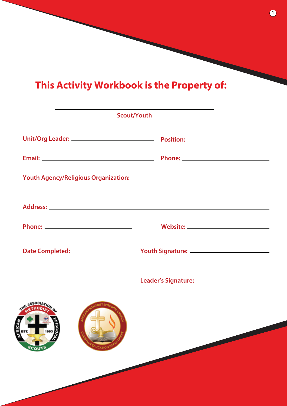# **This Activity Workbook is the Property of:**

|                                          | <b>Scout/Youth</b>                               |  |  |  |  |  |
|------------------------------------------|--------------------------------------------------|--|--|--|--|--|
|                                          |                                                  |  |  |  |  |  |
|                                          |                                                  |  |  |  |  |  |
|                                          |                                                  |  |  |  |  |  |
|                                          |                                                  |  |  |  |  |  |
|                                          |                                                  |  |  |  |  |  |
|                                          |                                                  |  |  |  |  |  |
|                                          | Leader's Signature: Management of the Signature: |  |  |  |  |  |
| <b>O</b> 3S<br><b>DUCATION</b><br>SCOUTS |                                                  |  |  |  |  |  |

**1**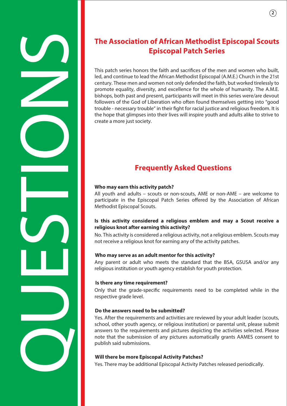# The Association of African Methodist Episcopal Scouts<br>
This part with a control to the film and some who built<br>
the and control to the film and some who built<br>
the and control to the film and some two states of the method

# **Episcopal Patch Series**

This patch series honors the faith and sacrifices of the men and women who built, led, and continue to lead the African Methodist Episcopal (A.M.E.) Church in the 21st century. These men and women not only defended the faith, but worked tirelessly to promote equality, diversity, and excellence for the whole of humanity. The A.M.E. bishops, both past and present, participants will meet in this series were/are devout followers of the God of Liberation who often found themselves getting into "good trouble - necessary trouble" in their fight for racial justice and religious freedom. It is the hope that glimpses into their lives will inspire youth and adults alike to strive to create a more just society.

# **Frequently Asked Questions**

### **Who may earn this activity patch?**

All youth and adults – scouts or non-scouts, AME or non-AME – are welcome to participate in the Episcopal Patch Series offered by the Association of African Methodist Episcopal Scouts.

### **Is this activity considered a religious emblem and may a Scout receive a religious knot after earning this activity?**

No. This activity is considered a religious activity, not a religious emblem. Scouts may not receive a religious knot for earning any of the activity patches.

### **Who may serve as an adult mentor for this activity?**

Any parent or adult who meets the standard that the BSA, GSUSA and/or any religious institution or youth agency establish for youth protection.

### **Is there any time requirement?**

Only that the grade-specific requirements need to be completed while in the respective grade level.

### **Do the answers need to be submitted?**

Yes. After the requirements and activities are reviewed by your adult leader (scouts, school, other youth agency, or religious institution) or parental unit, please submit answers to the requirements and pictures depicting the activities selected. Please note that the submission of any pictures automatically grants AAMES consent to publish said submissions.

### **Will there be more Episcopal Activity Patches?**

Yes. There may be additional Episcopal Activity Patches released periodically.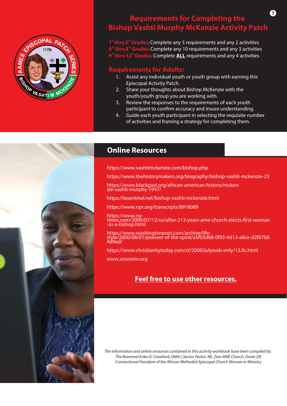

# **Requirements for Completing the Bishop Vashti Murphy McKenzie Activity Patch**

**3**

1<sup>st</sup> thru 5<sup>th</sup> Grades: Complete any 5 requirements and any 2 activities **th th 6 thru 8 Grades:**Complete any 10 requirements and any 3 activities **thru 12<sup>th</sup> Grades:** Complete **ALL** requirements and any 4 activities

### **Requirements for Adults:**

- 1. Assist any individual youth or youth group with earning this Episcopal Activity Patch.
- 2. Share your thoughts about Bishop McKenzie with the youth/youth group you are working with.
- 3. Review the responses to the requirements of each youth participant to confirm accuracy and insure understanding.
- 4. Guide each youth participant in selecting the requisite number of activities and framing a strategy for completing them.



### **Online Resources**

https://www.vashtimckenzie.com/bishop.php

https://www.thehistorymakers.org/biography/bishop-vashti-mckenzie-23

https://www.blackpast.org/african-american-history/mcken-<br>zie-vashti-murphy-1947/

https://lasentinel.net/bishop-vashti-mckenzie.html

https://www.npr.org/transcripts/8918089

https://www.ny-<br>times.com/2000/07/12/us/after-213-years-ame-church-elects-first-woman -as-a-bishop.html

https://www.washingtonpost.com/archive/life-<br>style/2000/08/01/pioneer-of-the-spirit/a5f03d68-0f93-4d13-a8ce-d2f67b6 4d9ad/

https://www.christianitytoday.com/ct/2000/julyweb-only/13.0c.html

www.amewim.org

## **Feel free to use other resources.**

*The information and online resources contained in this activity workbook have been compiled by: The Reverend Erika D. Crawford, DMin | Senior Pastor, Mt. Zion AME Church, Dover DE Connectional President of the African Methodist Episcopal Church Women in Ministry*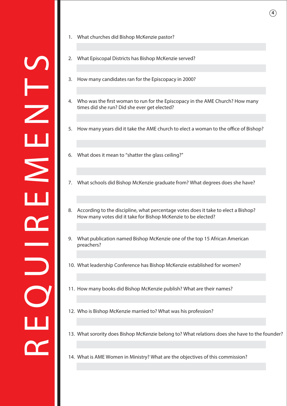- 1. What churches did Bishop McKenzie pastor?
- 2. What Episcopal Districts has Bishop McKenzie served?
- 3. How many candidates ran for the Episcopacy in 2000?
- 4. Who was the first woman to run for the Episcopacy in the AME Church? How many times did she run? Did she ever get elected?
- 5. How many years did it take the AME church to elect a woman to the office of Bishop?
- 6. What does it mean to "shatter the glass ceiling?"
- 7. What schools did Bishop McKenzie graduate from? What degrees does she have?
- 8. According to the discipline, what percentage votes does it take to elect a Bishop? How many votes did it take for Bishop McKenzie to be elected?
- 9. What publication named Bishop McKenzie one of the top 15 African American preachers?
- 10. What leadership Conference has Bishop McKenzie established for women?
- 11. How many books did Bishop McKenzie publish? What are their names?
- 12. Who is Bishop McKenzie married to? What was his profession?
- 13. What sorority does Bishop McKenzie belong to? What relations does she have to the founder?
- 14. What is AME Women in Ministry? What are the objectives of this commission?

**4**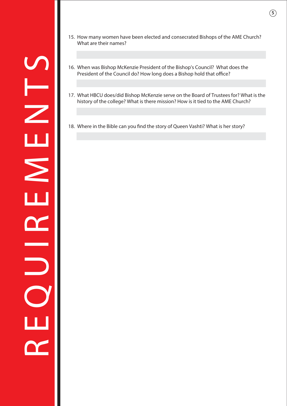- To When was Bishop McKenzie President of the Bishop's Council? What does the<br>President of the Council do? How long does a Bishop hold that office?<br>That is the Couloge? What is there mission? How is it tied to the AME Churc
- 15. How many women have been elected and consecrated Bishops of the AME Church? What are their names?

**5**

- 16. When was Bishop McKenzie President of the Bishop's Council? What does the President of the Council do? How long does a Bishop hold that office?
- history of the college? What is there mission? How is it tied to the AME Church?
- 18. Where in the Bible can you find the story of Queen Vashti? What is her story?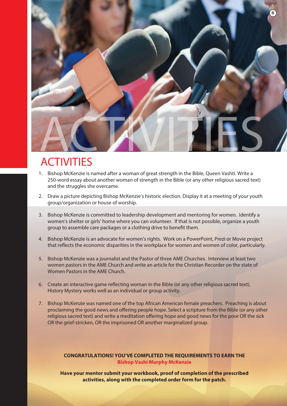

# ACTIVITIES

- 1. Bishop McKenzie is named after a woman of great strength in the Bible, Queen Vashti. Write a 250-word essay about another woman of strength in the Bible (or any other religious sacred text) and the struggles she overcame.
- 2. Draw a picture depicting Bishop McKenzie's historic election. Display it at a meeting of your youth group/organization or house of worship.
- 3. Bishop McKenzie is committed to leadership development and mentoring for women. Identify a women's shelter or girls' home where you can volunteer. If that is not possible, organize a youth group to assemble care packages or a clothing drive to benefit them.
- 4. Bishop McKenzie is an advocate for women's rights. Work on a PowerPoint, Prezi or Movie project that reflects the economic disparities in the workplace for women and women of color, particularly.
- 5. Bishop McKenzie was a journalist and the Pastor of three AME Churches. Interview at least two women pastors in the AME Church and write an article for the Christian Recorder on the state of Women Pastors in the AME Church.
- 6. Create an interactive game reflecting woman in the Bible (or any other religious sacred text). History Mystery works well as an individual or group activity.
- 7. Bishop McKenzie was named one of the top African American female preachers. Preaching is about proclaiming the good news and offering people hope. Select a scripture from the Bible (or any other religious sacred text) and write a meditation offering hope and good news for the poor OR the sick OR the grief-stricken, OR the imprisoned OR another marginalized group.

### **CONGRATULATIONS! YOU'VE COMPLETED THE REQUIREMENTS TO EARN THE Bishop Vashi Murphy McKenzie**

**Have your mentor submit your workbook, proof of completion of the prescribed activities, along with the completed order form for the patch.**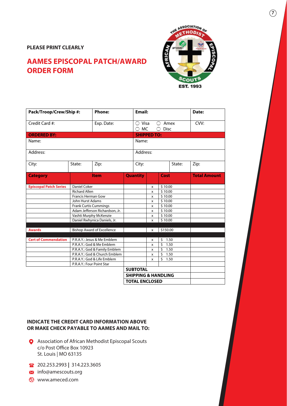### **PLEASE PRINT CLEARLY**

# **AAMES EPISCOPAL PATCH/AWARD ORDER FORM**



| Pack/Troop/Crew/Ship #:       |                                   | <b>Phone:</b>                 |                                                   | <b>Email:</b>      |              |           |      | Date:               |
|-------------------------------|-----------------------------------|-------------------------------|---------------------------------------------------|--------------------|--------------|-----------|------|---------------------|
| Credit Card #:<br>Exp. Date:  |                                   |                               | <b>Visa</b><br>Amex<br><b>MC</b><br><b>Disc</b>   |                    |              |           | CVV: |                     |
| <b>ORDERED BY:</b>            |                                   |                               |                                                   | <b>SHIPPED TO:</b> |              |           |      |                     |
| Name:                         |                                   |                               |                                                   | Name:              |              |           |      |                     |
| Address:                      |                                   |                               |                                                   | Address:           |              |           |      |                     |
| City:                         | State:                            | Zip:                          |                                                   | City:              |              | State:    |      | Zip:                |
| <b>Category</b>               |                                   | <b>Item</b>                   |                                                   | <b>Quantity</b>    |              | Cost      |      | <b>Total Amount</b> |
| <b>Episcopal Patch Series</b> | <b>Daniel Coker</b>               |                               |                                                   |                    | \$10.00<br>x |           |      |                     |
|                               | <b>Richard Allen</b>              |                               |                                                   |                    | \$10.00<br>X |           |      |                     |
|                               | Francis Herman Gow                |                               |                                                   |                    | \$10.00<br>x |           |      |                     |
|                               | John Hurst Adams                  |                               |                                                   | x                  |              | \$10.00   |      |                     |
|                               | <b>Frank Curtis Cummings</b>      |                               |                                                   | x                  |              | \$10.00   |      |                     |
|                               | Adam Jefferson Richardson, Jr.    |                               |                                                   | x                  |              | \$10.00   |      |                     |
|                               | Vashti Murphy McKenzie            |                               |                                                   | x                  |              | \$10.00   |      |                     |
|                               |                                   | Daniel Rwhynica Daniels, Jr.  |                                                   |                    | \$10.00<br>x |           |      |                     |
| <b>Awards</b>                 | <b>Bishop Award of Excellence</b> |                               |                                                   | x                  |              | \$150.00  |      |                     |
|                               |                                   |                               |                                                   |                    |              |           |      |                     |
| <b>Cert of Commendation</b>   | P.R.A.Y.: Jesus & Me Emblem       |                               |                                                   |                    | x            | \$        | 1.50 |                     |
|                               | P.R.A.Y.: God & Me Emblem         |                               |                                                   |                    | x            | Ś         | 1.50 |                     |
|                               | P.R.A.Y.: God & Family Emblem     |                               |                                                   |                    | x            | Ś<br>1.50 |      |                     |
|                               |                                   | P.R.A.Y.: God & Church Emblem |                                                   |                    | x            | Ś         | 1.50 |                     |
|                               |                                   | P.R.A.Y.: God & Life Emblem   |                                                   |                    | x            | \$        | 1.50 |                     |
|                               | P.R.A.Y.: Four Point Star         |                               |                                                   |                    |              |           |      |                     |
|                               |                                   |                               | <b>SUBTOTAL</b><br><b>SHIPPING &amp; HANDLING</b> |                    |              |           |      |                     |
|                               |                                   |                               |                                                   |                    |              |           |      |                     |
|                               |                                   | <b>TOTAL ENCLOSED</b>         |                                                   |                    |              |           |      |                     |

### **INDICATE THE CREDIT CARD INFORMATION ABOVE OR MAKE CHECK PAYABLE TO AAMES AND MAIL TO:**

- Association of African Methodist Episcopal Scouts c/o Post Office Box 10923 St. Louis | MO 63135
- 202.253.2993 **|** 314.223.3605
- **M** info@amescouts.org
- www.ameced.com